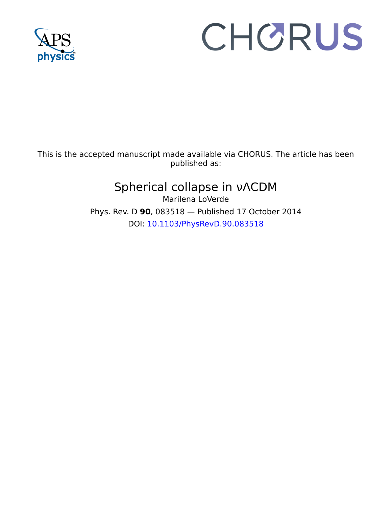

# CHORUS

This is the accepted manuscript made available via CHORUS. The article has been published as:

# Spherical collapse in νΛCDM

Marilena LoVerde Phys. Rev. D **90**, 083518 — Published 17 October 2014 DOI: [10.1103/PhysRevD.90.083518](http://dx.doi.org/10.1103/PhysRevD.90.083518)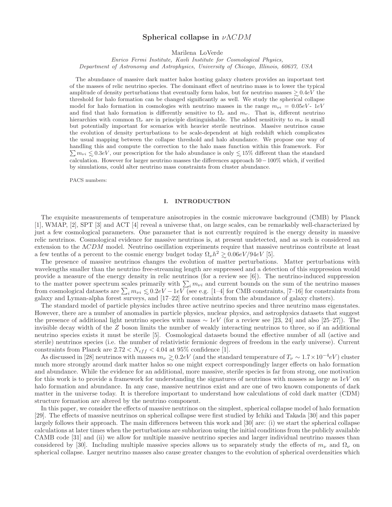### Spherical collapse in  $\nu\Lambda CDM$

Marilena LoVerde

Enrico Fermi Institute, Kavli Institute for Cosmological Physics, Department of Astronomy and Astrophysics, University of Chicago, Illinois, 60637, USA

The abundance of massive dark matter halos hosting galaxy clusters provides an important test of the masses of relic neutrino species. The dominant effect of neutrino mass is to lower the typical amplitude of density perturbations that eventually form halos, but for neutrino masses  $\geq 0.4eV$  the threshold for halo formation can be changed significantly as well. We study the spherical collapse model for halo formation in cosmologies with neutrino masses in the range  $m_{\nu i} = 0.05eV - 1eV$ and find that halo formation is differently sensitive to  $\Omega_{\nu}$  and  $m_{\nu}$ . That is, different neutrino hierarchies with common  $\Omega_{\nu}$  are in principle distinguishable. The added sensitivity to  $m_{\nu}$  is small but potentially important for scenarios with heavier sterile neutrinos. Massive neutrinos cause the evolution of density perturbations to be scale-dependent at high redshift which complicates the usual mapping between the collapse threshold and halo abundance. We propose one way of handling this and compute the correction to the halo mass function within this framework. For  $\sum m_{\nu i} \leq 0.3eV$ , our prescription for the halo abundance is only  $\leq 15\%$  different than the standard calculation. However for larger neutrino masses the differences approach 50−100% which, if verified by simulations, could alter neutrino mass constraints from cluster abundance.

PACS numbers:

#### I. INTRODUCTION

The exquisite measurements of temperature anisotropies in the cosmic microwave background (CMB) by Planck [1], WMAP, [2], SPT [3] and ACT [4] reveal a universe that, on large scales, can be remarkably well-characterized by just a few cosmological parameters. One parameter that is not currently required is the energy density in massive relic neutrinos. Cosmological evidence for massive neutrinos is, at present undetected, and as such is considered an extension to the  $\Lambda CDM$  model. Neutrino oscillation experiments require that massive neutrinos contribute at least a few tenths of a percent to the cosmic energy budget today  $\Omega_{\nu}h^2 \gtrsim 0.06 eV/94eV$  [5].

∼ The presence of massive neutrinos changes the evolution of matter perturbations. Matter perturbations with wavelengths smaller than the neutrino free-streaming length are suppressed and a detection of this suppression would provide a measure of the energy density in relic neutrinos (for a review see  $[6]$ ). The neutrino-induced suppression to the matter power spectrum scales primarily with  $\sum_i m_{\nu i}$  and current bounds on the sum of the neutrino masses from cosmological datasets are  $\sum_i m_{\nu i} \leq 0.2 eV - 1 eV$  (see e.g. [1–4] for CMB constraints, [7–16] for constraints from<br>galaxy and Lyman-alpha forest surveys, and [17–22] for constraints from the abundance of galaxy clu galaxy and Lyman-alpha forest surveys, and [17–22] for constraints from the abundance of galaxy clusters).

The standard model of particle physics includes three active neutrino species and three neutrino mass eigenstates. However, there are a number of anomalies in particle physics, nuclear physics, and astrophysics datasets that suggest the presence of additional light neutrino species with mass  $\sim 1eV$  (for a review see [23, 24] and also [25–27]). The invisible decay width of the Z boson limits the number of weakly interacting neutrinos to three, so if an additional neutrino species exists it must be sterile [5]. Cosmological datasets bound the effective number of all (active and sterile) neutrinos species (i.e. the number of relativistic fermionic degrees of freedom in the early universe). Current constraints from Planck are  $2.72 < N_{eff} < 4.04$  at 95% confidence [1].

As discussed in [28] neutrinos with masses  $m_{\nu} \gtrsim 0.2 eV$  (and the standard temperature of  $T_{\nu} \sim 1.7 \times 10^{-4} eV$ ) cluster<br>uch more strongly around dark matter halos so one might expect correspondingly larger effects much more strongly around dark matter halos so one might expect correspondingly larger effects on halo formation and abundance. While the evidence for an additional, more massive, sterile species is far from strong, one motivation for this work is to provide a framework for understanding the signatures of neutrinos with masses as large as  $1eV$  on halo formation and abundance. In any case, massive neutrinos exist and are one of two known components of dark matter in the universe today. It is therefore important to understand how calculations of cold dark matter (CDM) structure formation are altered by the neutrino component.

In this paper, we consider the effects of massive neutrinos on the simplest, spherical collapse model of halo formation [29]. The effects of massive neutrinos on spherical collapse were first studied by Ichiki and Takada [30] and this paper largely follows their approach. The main differences between this work and [30] are: (i) we start the spherical collapse calculations at later times when the perturbations are subhorizon using the initial conditions from the publicly available CAMB code [31] and (ii) we allow for multiple massive neutrino species and larger individual neutrino masses than considered by [30]. Including multiple massive species allows us to separately study the effects of  $m_{\nu}$  and  $\Omega_{\nu}$  on spherical collapse. Larger neutrino masses also cause greater changes to the evolution of spherical overdensities which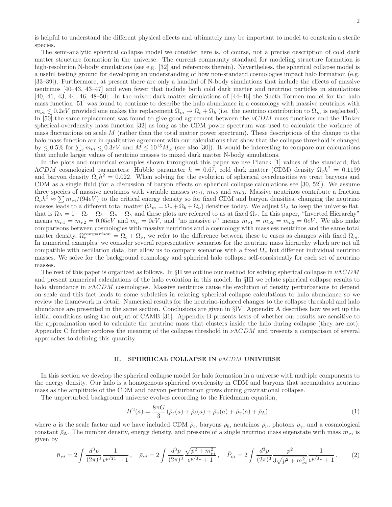is helpful to understand the different physical effects and ultimately may be important to model to constrain a sterile species.

The semi-analytic spherical collapse model we consider here is, of course, not a precise description of cold dark matter structure formation in the universe. The current community standard for modeling structure formation is high-resolution N-body simulations (see e.g. [32] and references therein). Nevertheless, the spherical collapse model is a useful testing ground for developing an understanding of how non-standard cosmologies impact halo formation (e.g. [33–39]). Furthermore, at present there are only a handful of N-body simulations that include the effects of massive neutrinos [40–43, 43–47] and even fewer that include both cold dark matter and neutrino particles in simulations [40, 41, 43, 44, 46, 48–50]. In the mixed-dark-matter simulations of [44–46] the Sheth-Tormen model for the halo mass function [51] was found to continue to describe the halo abundance in a cosmology with massive neutrinos with  $m_{\nu i} \lesssim 0.2eV$  provided one makes the replacement  $\Omega_m \to \Omega_c + \Omega_b$  (i.e. the neutrino contribution to  $\Omega_m$  is neglected).<br>In [50] the same replacement was found to give good agreement between the  $\nu CDM$  mass functions In [50] the same replacement was found to give good agreement between the  $\nu CDM$  mass functions and the Tinker spherical-overdensity mass function [32] as long as the CDM power spectrum was used to calculate the variance of mass fluctuations on scale M (rather than the total matter power spectrum). These descriptions of the change to the halo mass function are in qualitative agreement with our calculations that show that the collapse threshold is changed by  $\leq 0.5\%$  for  $\sum_i m_{\nu i} \leq 0.3eV$  and  $M \leq 10^{15} M_{\odot}$  (see also [30]). It would be interesting to compare our calculations that include larger values of neutrino masses to mixed dark matter. N-hody simulations that include larger values of neutrino masses to mixed dark matter N-body simulations.

In the plots and numerical examples shown throughout this paper we use Planck [1] values of the standard, flat  $\Lambda CDM$  cosmological parameters: Hubble parameter  $h = 0.67$ , cold dark matter (CDM) density  $\Omega_c h^2 = 0.1199$ and baryon density  $\Omega_b h^2 = 0.022$ . When solving for the evolution of spherical overdensities we treat baryons and CDM as a single fluid (for a discussion of baryon effects on spherical collapse calculations see [30, 52]). We assume three species of massive neutrinos with variable masses  $m_{\nu1}$ ,  $m_{\nu2}$  and  $m_{\nu3}$ . Massive neutrinos contribute a fraction  $\Omega_{\nu}h^2 \approx \sum m_{\nu i}/(94eV)$  to the critical energy density so for fixed CDM and baryon densities, changing the neutrino masses leads to a different total matter  $(\Omega_m = \Omega_c + \Omega_b + \Omega_v)$  densities today. We adjust  $\Omega_{\Lambda}$  to keep the universe flat, that is  $\Omega_{\Lambda} = 1 - \Omega_c - \Omega_b - \Omega_{\gamma}$  and these plots are referred to as at fixed  $\Omega_c$ . In this paper, "Inverted Hierarchy" means  $m_{\nu 1} = m_{\nu 2} = 0.05eV$  and  $m_{\nu} = 0eV$ , and "no massive  $\nu$ " means  $m_{\nu 1} = m_{\nu 2} = m_{\nu 3} = 0eV$ . We also make comparisons between cosmologies with massive neutrinos and a cosmology with massless neutrinos and the same total matter density,  $\Omega_c^{comparison} = \Omega_c + \Omega_{\nu}$ , we refer to the difference between these to cases as changes with fixed  $\Omega_m$ . In numerical examples, we consider several representative scenarios for the neutrino mass hierarchy which are not all compatible with oscillation data, but allow us to compare scenarios with a fixed  $\Omega_{\nu}$  but different individual neutrino masses. We solve for the background cosmology and spherical halo collapse self-consistently for each set of neutrino masses.

The rest of this paper is organized as follows. In §II we outline our method for solving spherical collapse in  $\nu\Lambda CDM$ and present numerical calculations of the halo evolution in this model. In §III we relate spherical collapse results to halo abundance in  $\nu\Lambda CDM$  cosmologies. Massive neutrinos cause the evolution of density perturbations to depend on scale and this fact leads to some subtleties in relating spherical collapse calculations to halo abundance so we review the framework in detail. Numerical results for the neutrino-induced changes to the collapse threshold and halo abundance are presented in the same section. Conclusions are given in §IV. Appendix A describes how we set up the initial conditions using the output of CAMB [31]. Appendix B presents tests of whether our results are sensitive to the approximation used to calculate the neutrino mass that clusters inside the halo during collapse (they are not). Appendix C further explores the meaning of the collapse threshold in  $\nu\Lambda CDM$  and presents a comparison of several approaches to defining this quantity.

#### II. SPHERICAL COLLAPSE IN νΛCDM UNIVERSE

In this section we develop the spherical collapse model for halo formation in a universe with multiple components to the energy density. Our halo is a homogenous spherical overdensity in CDM and baryons that accumulates neutrino mass as the amplitude of the CDM and baryon perturbation grows during gravitational collapse.

The unperturbed background universe evolves according to the Friedmann equation,

$$
H^{2}(a) = \frac{8\pi G}{3} \left( \bar{\rho}_{c}(a) + \bar{\rho}_{b}(a) + \bar{\rho}_{\nu}(a) + \bar{\rho}_{\gamma}(a) + \bar{\rho}_{\Lambda} \right)
$$
 (1)

where a is the scale factor and we have included CDM  $\bar{\rho}_c$ , baryons  $\bar{\rho}_b$ , neutrinos  $\bar{\rho}_v$ , photons  $\bar{\rho}_\gamma$ , and a cosmological constant  $\bar{\rho}_{\Lambda}$ . The number density, energy density, and pressure of a single neutrino mass eigenstate with mass  $m_{\nu i}$  is given by

$$
\bar{n}_{\nu i} = 2 \int \frac{d^3 p}{(2\pi)^3} \frac{1}{e^{p/T_{\nu}}} + 1, \quad \bar{\rho}_{\nu i} = 2 \int \frac{d^3 p}{(2\pi)^3} \frac{\sqrt{p^2 + m_{\nu i}^2}}{e^{p/T_{\nu}}} , \quad \bar{P}_{\nu i} = 2 \int \frac{d^3 p}{(2\pi)^3} \frac{p^2}{3\sqrt{p^2 + m_{\nu i}^2}} \frac{1}{e^{p/T_{\nu}}} . \tag{2}
$$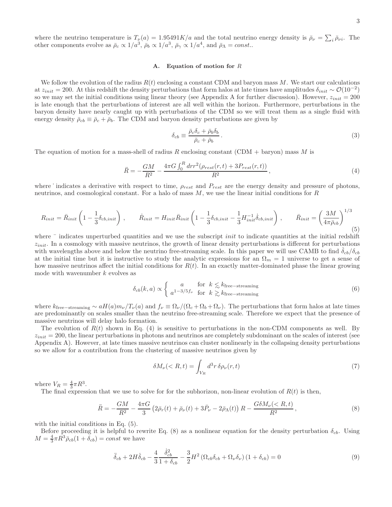where the neutrino temperature is  $T_{\nu}(a) = 1.95491K/a$  and the total neutrino energy density is  $\bar{\rho}_{\nu} = \sum_{i} \bar{\rho}_{\nu i}$ . The other components evolve as  $\bar{\rho}_c \propto 1/a^3$ ,  $\bar{\rho}_b \propto 1/a^3$ ,  $\bar{\rho}_{\gamma} \propto 1/a^4$ , and  $\bar{\rho}_{\Lambda} = const..$ 

#### A. Equation of motion for R

We follow the evolution of the radius  $R(t)$  enclosing a constant CDM and baryon mass M. We start our calculations at  $z_{init} = 200$ . At this redshift the density perturbations that form halos at late times have amplitudes  $\delta_{init} \sim \mathcal{O}(10^{-2})$ so we may set the initial conditions using linear theory (see Appendix A for further discussion). However,  $z_{init} = 200$ is late enough that the perturbations of interest are all well within the horizon. Furthermore, perturbations in the baryon density have nearly caught up with perturbations of the CDM so we will treat them as a single fluid with energy density  $\bar{\rho}_{cb} \equiv \bar{\rho}_c + \bar{\rho}_b$ . The CDM and baryon density perturbations are given by

$$
\delta_{cb} \equiv \frac{\bar{\rho}_c \delta_c + \bar{\rho}_b \delta_b}{\bar{\rho}_c + \bar{\rho}_b} \,. \tag{3}
$$

The equation of motion for a mass-shell of radius R enclosing constant (CDM + baryon) mass M is

$$
\ddot{R} = -\frac{GM}{R^2} - \frac{4\pi G \int_0^R dr r^2 (\rho_{rest}(r,t) + 3P_{rest}(r,t))}{R^2},\tag{4}
$$

where  $\cdot$  indicates a derivative with respect to time,  $\rho_{rest}$  and  $P_{rest}$  are the energy density and pressure of photons, neutrinos, and cosmological constant. For a halo of mass M, we use the linear initial conditions for R

$$
R_{init} = \bar{R}_{init} \left( 1 - \frac{1}{3} \delta_{cb,init} \right) , \qquad \dot{R}_{init} = H_{init} \bar{R}_{init} \left( 1 - \frac{1}{3} \delta_{cb,init} - \frac{1}{3} H_{init}^{-1} \dot{\delta}_{cb,init} \right) , \qquad \bar{R}_{init} = \left( \frac{3M}{4\pi \bar{\rho}_{cb}} \right)^{1/3} \tag{5}
$$

where  $\bar{\ }$  indicates unperturbed quantities and we use the subscript *init* to indicate quantities at the initial redshift  $z_{init}$ . In a cosmology with massive neutrinos, the growth of linear density perturbations is different for perturbations with wavelengths above and below the neutrino free-streaming scale. In this paper we will use CAMB to find  $\delta_{cb}/\delta_{cb}$ at the initial time but it is instructive to study the analytic expressions for an  $\Omega_m = 1$  universe to get a sense of how massive neutrinos affect the initial conditions for  $R(t)$ . In an exactly matter-dominated phase the linear growing mode with wavenumber k evolves as

$$
\delta_{cb}(k, a) \propto \begin{cases}\n a & \text{for } k \lesssim k_{\text{free-streaming}} \\
a^{1 - 3/5f_{\nu}} & \text{for } k \gtrsim k_{\text{free-streaming}}\n\end{cases}
$$
\n(6)

where  $k_{\text{free-streaming}} \sim aH(a)m_{\nu}/T_{\nu}(a)$  and  $f_{\nu} \equiv \Omega_{\nu}/(\Omega_c + \Omega_b + \Omega_{\nu})$ . The perturbations that form halos at late times are predominantly on scales smaller than the neutrino free-streaming scale. Therefore we expect that the presence of massive neutrinos will delay halo formation.

The evolution of  $R(t)$  shown in Eq. (4) is sensitive to perturbations in the non-CDM components as well. By  $z_{init} = 200$ , the linear perturbations in photons and neutrinos are completely subdominant on the scales of interest (see Appendix A). However, at late times massive neutrinos can cluster nonlinearly in the collapsing density perturbations so we allow for a contribution from the clustering of massive neutrinos given by

$$
\delta M_{\nu}(
$$

where  $V_R = \frac{4}{3}\pi R^3$ .

The final expression that we use to solve for the subhorizon, non-linear evolution of  $R(t)$  is then,

$$
\ddot{R} = -\frac{GM}{R^2} - \frac{4\pi G}{3} \left( 2\bar{\rho}_r(t) + \bar{\rho}_\nu(t) + 3\bar{P}_\nu - 2\bar{\rho}_\Lambda(t) \right) R - \frac{G\delta M_\nu (\le R, t)}{R^2},\tag{8}
$$

with the initial conditions in Eq. (5).

Before proceeding it is helpful to rewrite Eq. (8) as a nonlinear equation for the density perturbation  $\delta_{cb}$ . Using  $M = \frac{4}{3}\pi R^3 \bar{\rho}_{cb} (1 + \delta_{cb}) = const$  we have

$$
\ddot{\delta}_{cb} + 2H\dot{\delta}_{cb} - \frac{4}{3} \frac{\dot{\delta}_{cb}^2}{1 + \delta_{cb}} - \frac{3}{2} H^2 \left( \Omega_{cb} \delta_{cb} + \Omega_{\nu} \delta_{\nu} \right) \left( 1 + \delta_{cb} \right) = 0 \tag{9}
$$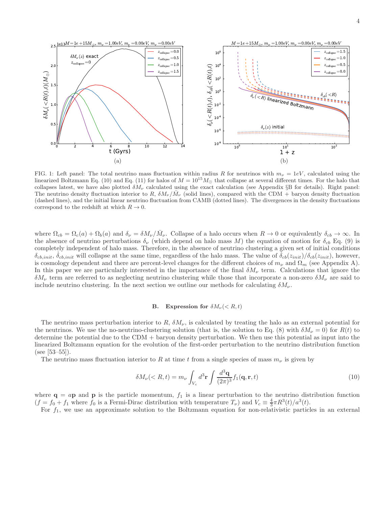

FIG. 1: Left panel: The total neutrino mass fluctuation within radius R for neutrinos with  $m_{\nu} = 1eV$ , calculated using the linearized Boltzmann Eq. (10) and Eq. (11) for halos of  $M = 10^{15} M_{\odot}$  that collapse at several different times. For the halo that collapses latest, we have also plotted  $\delta M_{\nu}$  calculated using the exact calculation (see Appendix §B for details). Right panel: The neutrino density fluctuation interior to R,  $\delta M_{\nu}/M_{\nu}$  (solid lines), compared with the CDM + baryon density fluctuation (dashed lines), and the initial linear neutrino fluctuation from CAMB (dotted lines). The divergences in the density fluctuations correspond to the redshift at which  $R \to 0$ .

where  $\Omega_{cb} = \Omega_c(a) + \Omega_b(a)$  and  $\delta_{\nu} = \delta M_{\nu}/\bar{M}_{\nu}$ . Collapse of a halo occurs when  $R \to 0$  or equivalently  $\delta_{cb} \to \infty$ . In the absence of neutrino perturbations  $\delta_{\nu}$  (which depend on halo mass M) the equation of motion for  $\delta_{cb}$  Eq. (9) is completely independent of halo mass. Therefore, in the absence of neutrino clustering a given set of initial conditions  $\delta_{cb,init}$ ,  $\dot{\delta}_{cb,init}$  will collapse at the same time, regardless of the halo mass. The value of  $\dot{\delta}_{cb}(z_{init})/\delta_{cb}(z_{init})$ , however, is cosmology dependent and there are percent-level changes for the different choices of  $m_{\nu}$  and  $\Omega_m$  (see Appendix A). In this paper we are particularly interested in the importance of the final  $\delta M_{\nu}$  term. Calculations that ignore the  $\delta M_{\nu}$  term are referred to as neglecting neutrino clustering while those that incorporate a non-zero  $\delta M_{\nu}$  are said to include neutrino clustering. In the next section we outline our methods for calculating  $\delta M_{\nu}$ .

#### B. Expression for  $\delta M_\nu (\langle R, t \rangle)$

The neutrino mass perturbation interior to  $R$ ,  $\delta M_{\nu}$ , is calculated by treating the halo as an external potential for the neutrinos. We use the no-neutrino-clustering solution (that is, the solution to Eq. (8) with  $\delta M_{\nu} = 0$ ) for  $R(t)$  to determine the potential due to the CDM + baryon density perturbation. We then use this potential as input into the linearized Boltzmann equation for the evolution of the first-order perturbation to the neutrino distribution function (see [53–55]).

The neutrino mass fluctuation interior to R at time t from a single species of mass  $m_{\nu}$  is given by

$$
\delta M_{\nu}(\n(10)
$$

where  $\mathbf{q} = a\mathbf{p}$  and  $\mathbf{p}$  is the particle momentum,  $f_1$  is a linear perturbation to the neutrino distribution function  $(f = f_0 + f_1)$  where  $f_0$  is a Fermi-Dirac distribution with temperature  $T_{\nu}$  and  $V_c \equiv \frac{4}{3}\pi R^3(t)/a^3(t)$ .

For  $f_1$ , we use an approximate solution to the Boltzmann equation for non-relativistic particles in an external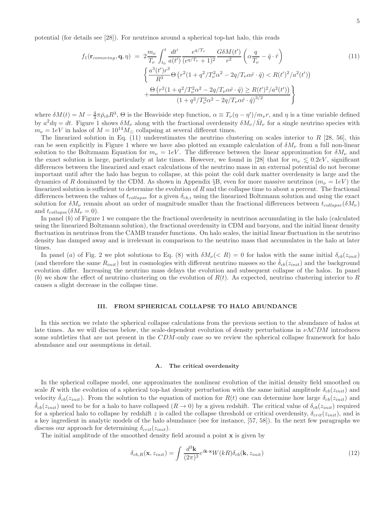potential (for details see [28]). For neutrinos around a spherical top-hat halo, this reads

$$
f_1(\mathbf{r}_{comoving}, \mathbf{q}, \eta) = 2 \frac{m_{\nu}}{T_{\nu}} \int_{t_0}^t \frac{dt'}{a(t')} \frac{e^{q/T_{\nu}}}{(e^{q/T_{\nu}} + 1)^2} \frac{G\delta M(t')}{r^2} \left(\alpha \frac{q}{T_{\nu}} - \hat{q} \cdot \hat{r}\right)
$$
  

$$
\left\{ \frac{a^3(t')r^3}{R^3} \Theta\left(r^2(1 + q^2/T_{\nu}^2 \alpha^2 - 2q/T_{\nu}\alpha \hat{r} \cdot \hat{q}) < R(t')^2/a^2(t')\right) + \frac{\Theta\left(r^2(1 + q^2/T_{\nu}^2 \alpha^2 - 2q/T_{\nu}\alpha \hat{r} \cdot \hat{q}) \geq R(t')^2/a^2(t')\right)}{(1 + q^2/T_{\nu}^2 \alpha^2 - 2q/T_{\nu}\alpha \hat{r} \cdot \hat{q})^{3/2}} \right\}
$$
(11)

where  $\delta M(t) = M - \frac{4}{3}\pi \bar{\rho}_{cb}R^3$ ,  $\Theta$  is the Heaviside step function,  $\alpha \equiv T_{\nu}(\eta - \eta')/m_{\nu}r$ , and  $\eta$  is a time variable defined by  $a^2 d\eta = dt$ . Figure 1 shows  $\delta M_{\nu}$  along with the fractional overdensity  $\delta M_{\nu}/\bar{M}_{\nu}$  for a single neutrino species with  $m_{\nu} = 1eV$  in halos of  $M = 10^{14} M_{\odot}$  collapsing at several different times.

The linearized solution in Eq.  $(11)$  underestimates the neutrino clustering on scales interior to R [28, 56], this can be seen explicitly in Figure 1 where we have also plotted an example calculation of  $\delta M_{\nu}$  from a full non-linear solution to the Boltzmann Equation for  $m_{\nu} = 1eV$ . The difference between the linear approximation for  $\delta M_{\nu}$  and the exact solution is large, particularly at late times. However, we found in [28] that for  $m_{\nu} \leq 0.2eV$ , significant differences between the linearized and exact calculations of the neutrino mass in an external poten differences between the linearized and exact calculations of the neutrino mass in an external potential do not become important until after the halo has begun to collapse, at this point the cold dark matter overdensity is large and the dynamics of R dominated by the CDM. As shown in Appendix  $\S B$ , even for more massive neutrinos  $(m_{\nu} = 1eV)$  the linearized solution is sufficient to determine the evolution of  $R$  and the collapse time to about a percent. The fractional differences between the values of  $t_{collapse}$  for a given  $\delta_{cb,i}$  using the linearized Boltzmann solution and using the exact solution for  $\delta M_\nu$  remain about an order of magnitude smaller than the fractional differences between  $t_{collapse}(\delta M_\nu)$ and  $t_{collapse}(\delta M_{\nu} = 0)$ .

In panel  $(b)$  of Figure 1 we compare the the fractional overdensity in neutrinos accumulating in the halo (calculated using the linearized Boltzmann solution), the fractional overdensity in CDM and baryons, and the initial linear density fluctuation in neutrinos from the CAMB transfer functions. On halo scales, the initial linear fluctuation in the neutrino density has damped away and is irrelevant in comparison to the neutrino mass that accumulates in the halo at later times.

In panel (a) of Fig. 2 we plot solutions to Eq. (8) with  $\delta M_\nu(\langle R\rangle = 0$  for halos with the same initial  $\delta_{cb}(z_{init})$ (and therefore the same  $R_{init}$ ) but in cosmologies with different neutrino masses so the  $\dot{\delta}_{cb}(z_{init})$  and the background evolution differ. Increasing the neutrino mass delays the evolution and subsequent collapse of the halos. In panel (b) we show the effect of neutrino clustering on the evolution of  $R(t)$ . As expected, neutrino clustering interior to R causes a slight decrease in the collapse time.

#### III. FROM SPHERICAL COLLAPSE TO HALO ABUNDANCE

In this section we relate the spherical collapse calculations from the previous section to the abundance of halos at late times. As we will discuss below, the scale-dependent evolution of density perturbations in  $\nu\Lambda CDM$  introduces some subtleties that are not present in the CDM-only case so we review the spherical collapse framework for halo abundance and our assumptions in detail.

#### A. The critical overdensity

In the spherical collapse model, one approximates the nonlinear evolution of the initial density field smoothed on scale R with the evolution of a spherical top-hat density perturbation with the same initial amplitude  $\delta_{cb}(z_{init})$  and velocity  $\dot{\delta}_{cb}(z_{init})$ . From the solution to the equation of motion for  $R(t)$  one can determine how large  $\delta_{cb}(z_{init})$  and  $\dot{\delta}_{cb}(z_{init})$  need to be for a halo to have collapsed  $(R \to 0)$  by a given redshift. The critical value of  $\delta_{cb}(z_{init})$  required for a spherical halo to collapse by redshift z is called the collapse threshold or critical overdensity,  $\delta_{crit}(z_{init})$ , and is a key ingredient in analytic models of the halo abundance (see for instance, [57, 58]). In the next few paragraphs we discuss our approach for determining  $\delta_{crit}(z_{init})$ .

The initial amplitude of the smoothed density field around a point  $x$  is given by

$$
\delta_{cb,R}(\mathbf{x}, z_{init}) = \int \frac{d^3 \mathbf{k}}{(2\pi)^3} e^{i\mathbf{k} \cdot \mathbf{x}} W(kR) \delta_{cb}(\mathbf{k}, z_{init})
$$
\n(12)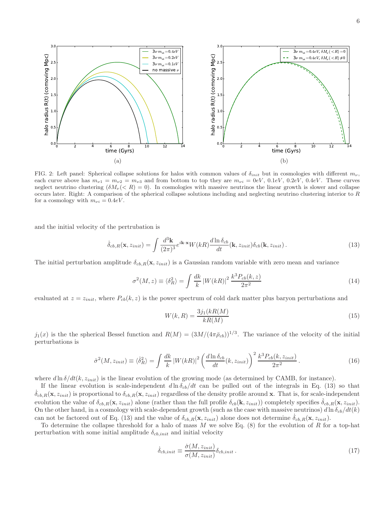6



FIG. 2: Left panel: Spherical collapse solutions for halos with common values of  $\delta_{init}$  but in cosmologies with different  $m_{\nu}$ , each curve above has  $m_{\nu1} = m_{\nu2} = m_{\nu3}$  and from bottom to top they are  $m_{\nu i} = 0eV$ ,  $0.1eV$ ,  $0.2eV$ ,  $0.4eV$ . These curves neglect neutrino clustering  $(\delta M_\nu ( $R) = 0$ ). In cosmologies with massive neutrinos the linear growth is slower and collapse$ occurs later. Right: A comparison of the spherical collapse solutions including and neglecting neutrino clustering interior to R for a cosmology with  $m_{\nu i} = 0.4eV$ .

and the initial velocity of the pertrubation is

$$
\dot{\delta}_{cb,R}(\mathbf{x}, z_{init}) = \int \frac{d^3 \mathbf{k}}{(2\pi)^3} e^{i\mathbf{k} \cdot \mathbf{x}} W(kR) \frac{d \ln \delta_{cb}}{dt}(\mathbf{k}, z_{init}) \delta_{cb}(\mathbf{k}, z_{init}). \tag{13}
$$

The initial perturbation amplitude  $\delta_{cb,R}(\mathbf{x}, z_{init})$  is a Gaussian random variable with zero mean and variance

$$
\sigma^2(M, z) \equiv \langle \delta_R^2 \rangle = \int \frac{dk}{k} \left| W(kR) \right|^2 \frac{k^3 P_{cb}(k, z)}{2\pi^2}
$$
\n(14)

evaluated at  $z = z_{init}$ , where  $P_{cb}(k, z)$  is the power spectrum of cold dark matter plus baryon perturbations and

$$
W(k,R) = \frac{3j_1(kR(M))}{kR(M)}
$$
\n
$$
(15)
$$

 $j_1(x)$  is the the spherical Bessel function and  $R(M) = (3M/(4\pi\bar{\rho}_{cb}))^{1/3}$ . The variance of the velocity of the initial perturbations is

$$
\dot{\sigma}^2(M, z_{init}) \equiv \langle \dot{\delta}_R^2 \rangle = \int \frac{dk}{k} \left| W(kR) \right|^2 \left( \frac{d \ln \delta_{cb}}{dt} (k, z_{init}) \right)^2 \frac{k^3 P_{cb}(k, z_{init})}{2\pi^2} \,. \tag{16}
$$

where  $d \ln \delta/dt(k, z_{init})$  is the linear evolution of the growing mode (as determined by CAMB, for instance).

If the linear evolution is scale-independent  $d\ln \delta_{cb}/dt$  can be pulled out of the integrals in Eq. (13) so that  $\delta_{cb,R}(\mathbf{x}, z_{init})$  is proportional to  $\delta_{cb,R}(\mathbf{x}, z_{init})$  regardless of the density profile around x. That is, for scale-independent evolution the value of  $\delta_{cb,R}(\mathbf{x}, z_{init})$  alone (rather than the full profile  $\delta_{cb}(\mathbf{k}, z_{init})$ ) completely specifies  $\delta_{cb,R}(\mathbf{x}, z_{init})$ . On the other hand, in a cosmology with scale-dependent growth (such as the case with massive neutrinos)  $d\ln \delta_{cb}/dt(k)$ can not be factored out of Eq. (13) and the value of  $\delta_{cb,R}(\mathbf{x}, z_{init})$  alone does not determine  $\delta_{cb,R}(\mathbf{x}, z_{init})$ .

To determine the collapse threshold for a halo of mass  $M$  we solve Eq. (8) for the evolution of  $R$  for a top-hat perturbation with some initial amplitude  $\delta_{cb,init}$  and initial velocity

$$
\dot{\delta}_{cb,init} \equiv \frac{\dot{\sigma}(M, z_{init})}{\sigma(M, z_{init})} \delta_{cb,init} \,. \tag{17}
$$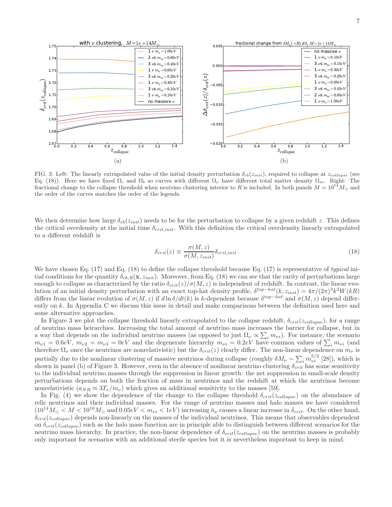



FIG. 3: Left: The linearly extrapolated value of the initial density perturbation  $\delta_{cb}(z_{init})$ , required to collapse at  $z_{collapse}$  (see Eq. (18)). Here we have fixed  $\Omega_c$  and  $\Omega_b$  so curves with different  $\Omega_{\nu}$  have different total matter density  $\Omega_m$ . Right: The fractional change to the collapse threshold when neutrino clustering interior to R is included. In both panels  $M = 10^{14} M_{\odot}$  and the order of the curves matches the order of the legends.

We then determine how large  $\delta_{cb}(z_{init})$  needs to be for the perturbation to collapse by a given redshift z. This defines the critical overdensity at the initial time  $\delta_{crit,init}$ . With this definition the critical overdensity linearly extrapolated to a different redshift is

$$
\delta_{crit}(z) \equiv \frac{\sigma(M, z)}{\sigma(M, z_{init})} \delta_{crit, init} \,. \tag{18}
$$

We have chosen Eq. (17) and Eq. (18) to define the collapse threshold because Eq. (17) is representative of typical initial conditions for the quantity  $\delta_{cb,R}(\mathbf{x}, z_{init})$ . Moreover, from Eq. (18) we can see that the rarity of perturbations large enough to collapse as characterized by the ratio  $\delta_{crit}(z)/\sigma(M, z)$  is independent of redshift. In contrast, the linear evolution of an initial density perturbation with an exact top-hat density profile,  $\delta^{top-hat}(k, z_{init}) = 4\pi/(2\pi)^3 k^2 W(kR)$ differs from the linear evolution of  $\sigma(M, z)$  if  $d \ln \delta/dt(k)$  is k-dependent because  $\delta^{top-hat}$  and  $\sigma(M, z)$  depend differently on k. In Appendix C we discuss this issue in detail and make comparisons between the definition used here and some alternative approaches.

In Figure 3 we plot the collapse threshold linearly extrapolated to the collapse redshift,  $\delta_{crit}(z_{collapse})$ , for a range of neutrino mass heirarchies. Increasing the total amount of neutrino mass increases the barrier for collapse, but in a way that depends on the individual neutrino masses (as opposed to just  $\Omega_{\nu} \propto \sum_i m_{\nu i}$ ). For instance, the scenario  $m_{\nu1} = 0.6$ eV,  $m_{\nu2} = m_{\nu3} = 0$ eV and the degenerate hierarchy  $m_{\nu i} = 0.2$ eV have common values of  $\sum_i m_{\nu i}$  (and therefore  $\Omega_{\nu}$  once the neutrinos are nonrelativistic) but the  $\delta_{crit}(z)$  clearly differ. The non-linear dependence on  $m_{\nu}$  is partially due to the nonlinear clustering of massive neutrinos during collapse (roughly  $\delta M_{\nu} \sim \sum_i m_{\nu i}^{5/2}$  [28]), which is shown in panel (b) of Figure 3. However, even in the absence of nonlinear neutrino clustering  $\delta_{crit}$  has some sensitivity to the individual neutrino masses through the suppression in linear growth: the net suppression in small-scale density perturbations depends on both the fraction of mass in neutrinos and the redshift at which the neutrinos become nonrelativistic  $(a_{NR} \approx 3T_{\nu}/m_{\nu})$  which gives an additional sensitivity to the masses [59].

In Fig. (4) we show the dependence of the change to the collapse threshold  $\delta_{crit}(z_{collapse})$  on the abundance of relic neutrinos and their individual masses. For the range of neutrino masses and halo masses we have considered  $(10^{14}M_{\odot} < M < 10^{16}M_{\odot}$  and  $0.05eV < m_{\nu i} < 1eV$ ) increasing  $\bar{n}_{\nu}$  causes a linear increase in  $\delta_{crit}$ . On the other hand,  $\delta_{crit}(z_{collapse})$  depends non-linearly on the masses of the individual neutrinos. This means that observables dependent on  $\delta_{crit}(z_{collapse})$  such as the halo mass function are in principle able to distinguish between different scenarios for the neutrino mass hierarchy. In practice, the non-linear dependence of  $\delta_{crit}(z_{collapse})$  on the neutrino masses is probably only important for scenarios with an additional sterile species but it is nevertheless important to keep in mind.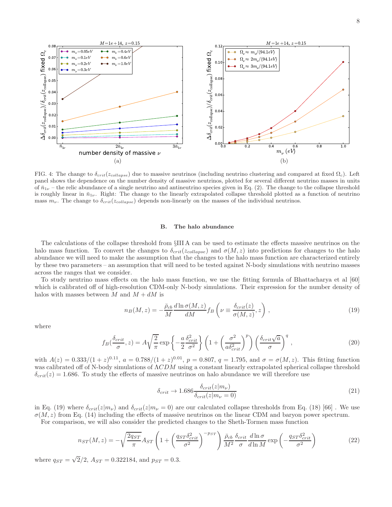

FIG. 4: The change to  $\delta_{crit}(z_{collapse})$  due to massive neutrinos (including neutrino clustering and compared at fixed  $\Omega_c$ ). Left panel shows the dependence on the number density of massive neutrinos, plotted for several different neutrino masses in units of  $\bar{n}_{1\nu}$  – the relic abundance of a single neutrino and antineutrino species given in Eq. (2). The change to the collapse threshold is roughly linear in  $\bar{n}_{1\nu}$ . Right: The change to the linearly extrapolated collapse threshold plotted as a function of neutrino mass  $m_{\nu}$ . The change to  $\delta_{crit}(z_{collapse})$  depends non-linearly on the masses of the individual neutrinos.

#### B. The halo abundance

The calculations of the collapse threshold from §III A can be used to estimate the effects massive neutrinos on the halo mass function. To convert the changes to  $\delta_{crit}(z_{collapse})$  and  $\sigma(M, z)$  into predictions for changes to the halo abundance we will need to make the assumption that the changes to the halo mass function are characterized entirely by these two parameters – an assumption that will need to be tested against N-body simulations with neutrino masses across the ranges that we consider.

To study neutrino mass effects on the halo mass function, we use the fitting formula of Bhattacharya et al [60] which is calibrated off of high-resolution CDM-only N-body simulations. Their expression for the number density of halos with masses between M and  $M + dM$  is

$$
n_B(M, z) = -\frac{\bar{\rho}_{cb}}{M} \frac{d \ln \sigma(M, z)}{d M} f_B\left(\nu \equiv \frac{\delta_{crit}(z)}{\sigma(M, z)}, z\right),\tag{19}
$$

where

$$
f_B\left(\frac{\delta_{crit}}{\sigma}, z\right) = A\sqrt{\frac{2}{\pi}} \exp\left\{-\frac{a}{2} \frac{\delta_{crit}^2}{\sigma^2}\right\} \left(1 + \left(\frac{\sigma^2}{a\delta_{crit}^2}\right)^p\right) \left(\frac{\delta_{crit}\sqrt{a}}{\sigma}\right)^q,
$$
\n(20)

with  $A(z) = 0.333/(1+z)^{0.11}$ ,  $a = 0.788/(1+z)^{0.01}$ ,  $p = 0.807$ ,  $q = 1.795$ , and  $\sigma = \sigma(M, z)$ . This fitting function was calibrated off of N-body simulations of ΛCDM using a constant linearly extrapolated spherical collapse threshold  $\delta_{crit}(z) = 1.686$ . To study the effects of massive neutrinos on halo abundance we will therefore use

$$
\delta_{crit} \to 1.686 \frac{\delta_{crit}(z|m_{\nu})}{\delta_{crit}(z|m_{\nu}=0)}
$$
\n(21)

in Eq. (19) where  $\delta_{crit}(z|m_{\nu})$  and  $\delta_{crit}(z|m_{\nu}=0)$  are our calculated collapse thresholds from Eq. (18) [66]. We use  $\sigma(M, z)$  from Eq. (14) including the effects of massive neutrinos on the linear CDM and baryon power spectrum.

For comparison, we will also consider the predicted changes to the Sheth-Tormen mass function

$$
n_{ST}(M,z) = -\sqrt{\frac{2q_{ST}}{\pi}}A_{ST}\left(1 + \left(\frac{q_{ST}\delta_{crit}^2}{\sigma^2}\right)^{-p_{ST}}\right)\frac{\bar{\rho}_{cb}}{M^2}\frac{\delta_{crit}}{\sigma}\frac{d\ln\sigma}{d\ln M}\exp\left(-\frac{q_{ST}\delta_{crit}^2}{\sigma^2}\right) \tag{22}
$$

where  $q_{ST} = \sqrt{2}/2$ ,  $A_{ST} = 0.322184$ , and  $p_{ST} = 0.3$ .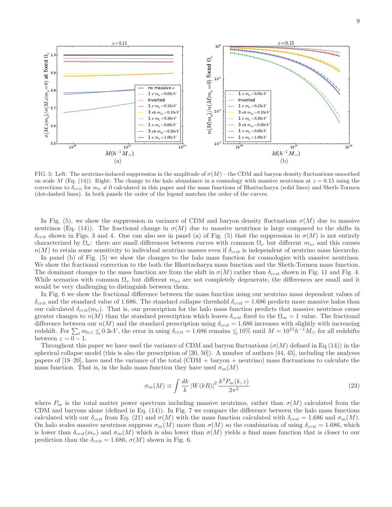

FIG. 5: Left: The neutrino-induced suppression in the amplitude of  $\sigma(M)$  – the CDM and baryon density fluctuations smoothed on scale M (Eq. (14)). Right: The change to the halo abundance in a cosmology with massive neutrinos at  $z = 0.15$  using the corrections to  $\delta_{crit}$  for  $m_{\nu} \neq 0$  calculated in this paper and the mass functions of Bhattacharya (solid lines) and Sheth-Tormen (dot-dashed lines). In both panels the order of the legend matches the order of the curves.

In Fig. (5), we show the suppression in variance of CDM and baryon density fluctuations  $\sigma(M)$  due to massive neutrinos (Eq. (14)). The fractional change in  $\sigma(M)$  due to massive neutrinos is large compared to the shifts in  $\delta_{crit}$  shown in Figs. 3 and 4. One can also see in panel (a) of Fig. (5) that the suppression in  $\sigma(M)$  is not entirely characterized by  $\Omega_{\nu}$ : there are small differences between curves with common  $\Omega_{\nu}$  but different  $m_{\nu i}$  and this causes  $n(M)$  to retain some sensitivity to individual neutrino masses even if  $\delta_{crit}$  is independent of neutrino mass hierarchy.

In panel (b) of Fig. (5) we show the changes to the halo mass function for cosmologies with massive neutrinos. We show the fractional correction to the both the Bhattacharya mass function and the Sheth-Tormen mass function. The dominant changes to the mass function are from the shift in  $\sigma(M)$  rather than  $\delta_{crit}$  shown in Fig. 11 and Fig. 4. While scenarios with common  $\Omega_{\nu}$  but different  $m_{\nu i}$  are not completely degenerate, the differences are small and it would be very challenging to distinguish between them.

In Fig. 6 we show the fractional difference between the mass function using our neutrino mass dependent values of  $\delta_{crit}$  and the standard value of 1.686. The standard collapse threshold  $\delta_{crit} = 1.686$  predicts more massive halos than our calculated  $\delta_{crit}(m_\nu)$ . That is, our prescription for the halo mass function predicts that massive neutrinos cause greater changes to  $n(M)$  than the standard prescription which leaves  $\delta_{crit}$  fixed to the  $\Omega_m = 1$  value. The fractional difference between our  $n(M)$  and the standard prescription using  $\delta_{crit} = 1.686$  increases with slightly with increasing redshift. For  $\sum_i m_{\nu,i} \lesssim 0.3eV$ , the error in using  $\delta_{crit} = 1.686$  remains  $\lesssim 10\%$  until  $M = 10^{15}h^{-1}M_{\odot}$  for all redshifts between  $z \sim 0 - 1$ .

Throughout this paper we have used the variance of CDM and baryon fluctuations  $(\sigma(M)$  defined in Eq (14)) in the spherical collapse model (this is also the prescription of [30, 50]). A number of authors [44, 45], including the analyses papers of [18–20], have used the variance of the total (CDM + baryon + neutrino) mass fluctuations to calculate the mass function. That is, in the halo mass function they have used  $\sigma_m(M)$ 

$$
\sigma_m(M) \equiv \int \frac{dk}{k} \left| W(kR) \right|^2 \frac{k^3 P_m(k, z)}{2\pi^2} \tag{23}
$$

where  $P_m$  is the total matter power spectrum including massive neutrinos, rather than  $\sigma(M)$  calculated from the CDM and baryons alone (defined in Eq. (14)). In Fig. 7 we compare the difference between the halo mass functions calculated with our  $\delta_{crit}$  from Eq. (21) and  $\sigma(M)$  with the mass function calculated with  $\delta_{crit} = 1.686$  and  $\sigma_m(M)$ . On halo scales massive neutrinos suppress  $\sigma_m(M)$  more than  $\sigma(M)$  so the combination of using  $\delta_{crit} = 1.686$ , which is lower than  $\delta_{crit}(m_\nu)$  and  $\sigma_m(M)$  which is also lower than  $\sigma(M)$  yields a final mass function that is closer to our prediction than the  $\delta_{crit} = 1.686, \sigma(M)$  shown in Fig. 6.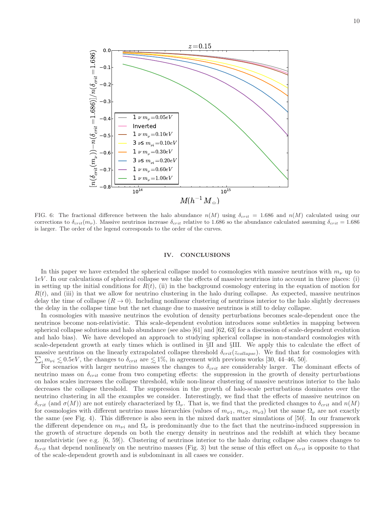

FIG. 6: The fractional difference between the halo abundance  $n(M)$  using  $\delta_{crit} = 1.686$  and  $n(M)$  calculated using our corrections to  $\delta_{crit}(m_\nu)$ . Massive neutrinos increase  $\delta_{crit}$  relative to 1.686 so the abundance calculated assuming  $\delta_{crit} = 1.686$ is larger. The order of the legend corresponds to the order of the curves.

#### IV. CONCLUSIONS

In this paper we have extended the spherical collapse model to cosmologies with massive neutrinos with  $m_{\nu}$  up to 1eV . In our calculations of spherical collapse we take the effects of massive neutrinos into account in three places: (i) in setting up the initial conditions for  $R(t)$ , (ii) in the background cosmology entering in the equation of motion for  $R(t)$ , and (iii) in that we allow for neutrino clustering in the halo during collapse. As expected, massive neutrinos delay the time of collapse  $(R \to 0)$ . Including nonlinear clustering of neutrinos interior to the halo slightly decreases the delay in the collapse time but the net change due to massive neutrinos is still to delay collapse.

In cosmologies with massive neutrinos the evolution of density perturbations becomes scale-dependent once the neutrinos become non-relativistic. This scale-dependent evolution introduces some subtleties in mapping between spherical collapse solutions and halo abundance (see also [61] and [62, 63] for a discussion of scale-dependent evolution and halo bias). We have developed an approach to studying spherical collapse in non-standard cosmologies with scale-dependent growth at early times which is outlined in §II and §III. We apply this to calculate the effect of massive neutrinos on the linearly extrapolated collapse threshold  $\delta_{crit}(z_{collapse})$ . We find that for cosmologies with  $\sum_i m_{\nu i} \leq 0.5$ eV, the changes to  $\delta_{crit}$  are  $\leq 1\%$ , in agreement with previous works [30, 44–46, 50].<br>For scenarios with larger peutrino masses the changes to  $\delta_{\nu}$  are considerably larger. The c

For scenarios with larger neutrino masses the changes to  $\delta_{crit}$  are considerably larger. The dominant effects of neutrino mass on  $\delta_{crit}$  come from two competing effects: the suppression in the growth of density perturbations on halos scales increases the collapse threshold, while non-linear clustering of massive neutrinos interior to the halo decreases the collapse threshold. The suppression in the growth of halo-scale perturbations dominates over the neutrino clustering in all the examples we consider. Interestingly, we find that the effects of massive neutrinos on  $\delta_{crit}$  (and  $\sigma(M)$ ) are not entirely characterized by  $\Omega_{\nu}$ . That is, we find that the predicted changes to  $\delta_{crit}$  and  $n(M)$ for cosmologies with different neutrino mass hierarchies (values of  $m_{\nu1}$ ,  $m_{\nu2}$ ,  $m_{\nu3}$ ) but the same  $\Omega_{\nu}$  are not exactly the same (see Fig. 4). This difference is also seen in the mixed dark matter simulations of [50]. In our framework the different dependence on  $m_{\nu i}$  and  $\Omega_{\nu}$  is predominantly due to the fact that the neutrino-induced suppression in the growth of structure depends on both the energy density in neutrinos and the redshift at which they became nonrelativistic (see e.g. [6, 59]). Clustering of neutrinos interior to the halo during collapse also causes changes to  $\delta_{crit}$  that depend nonlinearly on the neutrino masses (Fig. 3) but the sense of this effect on  $\delta_{crit}$  is opposite to that of the scale-dependent growth and is subdominant in all cases we consider.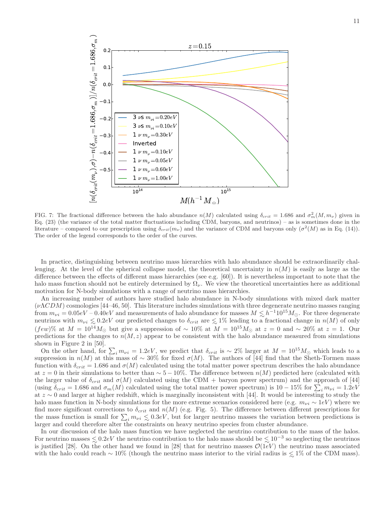

FIG. 7: The fractional difference between the halo abundance  $n(M)$  calculated using  $\delta_{crit} = 1.686$  and  $\sigma_m^2(M, m_\nu)$  given in Eq. (23) (the variance of the total matter fluctuations including CDM, baryons, and neutrinos) – as is sometimes done in the literature – compared to our prescription using  $\delta_{crit}(m_\nu)$  and the variance of CDM and baryons only  $(\sigma^2(M)$  as in Eq. (14)). The order of the legend corresponds to the order of the curves.

In practice, distinguishing between neutrino mass hierarchies with halo abundance should be extraordinarily challenging. At the level of the spherical collapse model, the theoretical uncertainty in  $n(M)$  is easily as large as the difference between the effects of different mass hierarchies (see e.g. [60]). It is nevertheless important to note that the halo mass function should not be entirely determined by  $\Omega_{\nu}$ . We view the theoretical uncertainties here as additional motivation for N-body simulations with a range of neutrino mass hierarchies.

An increasing number of authors have studied halo abundance in N-body simulations with mixed dark matter  $(\nu\Lambda CDM)$  cosmologies [44–46, 50]. This literature includes simulations with three degenerate neutrino masses ranging from  $m_{\nu i} = 0.05eV - 0.40eV$  and measurements of halo abundance for masses  $M \leq h^{-1}10^{15}M_{\odot}$ . For three degenerate neutrinos with  $m_{\nu i} \leq 0.2eV$  our predicted changes to  $\delta_{crit}$  are  $\leq 1\%$  leading to a fractional change in  $n(M)$  of only  $(few)$ % at  $M = 10^{14} M_{\odot}$  but give a suppression of ~ 10% at  $M = 10^{15} M_{\odot}$  at  $z = 0$  and ~ 20% at  $z = 1$ . Our predictions for the changes to  $n(M, z)$  appear to be consistent with the halo abundance measured from simulations shown in Figure 2 in [50].

On the other hand, for  $\sum_i m_{\nu i} = 1.2eV$ , we predict that  $\delta_{crit}$  is ~ 2% larger at  $M = 10^{15}M_{\odot}$  which leads to a suppression in  $n(M)$  at this mass of ~ 30% for fixed  $\sigma(M)$ . The authors of [44] find that the Sheth-Tormen mass function with  $\delta_{crit} = 1.686$  and  $\sigma(M)$  calculated using the total matter power spectrum describes the halo abundance at  $z = 0$  in their simulations to better than ~ 5 − 10%. The difference between  $n(M)$  predicted here (calculated with the larger value of  $\delta_{crit}$  and  $\sigma(M)$  calculated using the CDM + baryon power spectrum) and the approach of [44] (using  $\delta_{crit} = 1.686$  and  $\sigma_m(M)$  calculated using the total matter power spectrum) is  $10-15\%$  for  $\sum_i m_{\nu i} = 1.2eV$ at z ∼ 0 and larger at higher redshift, which is marginally inconsistent with [44]. It would be interesting to study the halo mass function in N-body simulations for the more extreme scenarios considered here (e.g.  $m_{\nu i} \sim 1eV$ ) where we find more significant corrections to  $\delta_{crit}$  and  $n(M)$  (e.g. Fig. 5). The difference between different prescriptions for the mass function is small for  $\sum_i m_{\nu i} \leq 0.3eV$ , but for larger neutrino masses the variation between predictions is<br>larger and could therefore alter the constraints on heavy neutrino species from cluster abundance larger and could therefore alter the constraints on heavy neutrino species from cluster abundance.

In our discussion of the halo mass function we have neglected the neutrino contribution to the mass of the halos. For neutrino masses  $\lesssim 0.2eV$  the neutrino contribution to the halo mass should be  $\lesssim 10^{-3}$  so neglecting the neutrinos<br>is instituted [28]. On the other hand we found in [28] that for neutrino masses  $\mathcal{O}(1eV)$  t is justified [28]. On the other hand we found in [28] that for neutrino masses  $\mathcal{O}(1eV)$  the neutrino mass associated with the halo could reach ~ 10% (though the neutrino mass interior to the virial radius is  $\lesssim 1\%$  of the CDM mass).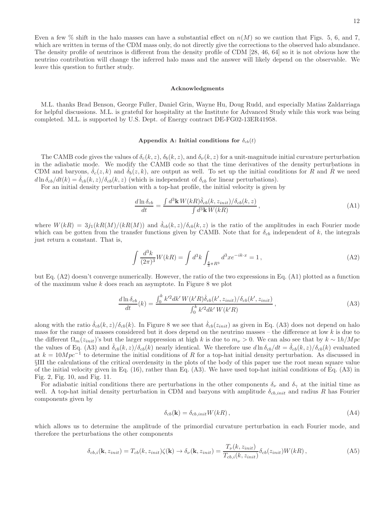Even a few  $\%$  shift in the halo masses can have a substantial effect on  $n(M)$  so we caution that Figs. 5, 6, and 7, which are written in terms of the CDM mass only, do not directly give the corrections to the observed halo abundance. The density profile of neutrinos is different from the density profile of CDM [28, 46, 64] so it is not obvious how the neutrino contribution will change the inferred halo mass and the answer will likely depend on the observable. We leave this question to further study.

#### Acknowledgments

M.L. thanks Brad Benson, George Fuller, Daniel Grin, Wayne Hu, Doug Rudd, and especially Matias Zaldarriaga for helpful discussions. M.L. is grateful for hospitality at the Institute for Advanced Study while this work was being completed. M.L. is supported by U.S. Dept. of Energy contract DE-FG02-13ER41958.

#### Appendix A: Initial conditions for  $\delta_{cb}(t)$

The CAMB code gives the values of  $\delta_c(k, z)$ ,  $\delta_b(k, z)$ , and  $\delta_{\nu}(k, z)$  for a unit-magnitude initial curvature perturbation in the adiabatic mode. We modify the CAMB code so that the time derivatives of the density perturbations in CDM and baryons,  $\delta_c(z, k)$  and  $\delta_b(z, k)$ , are output as well. To set up the initial conditions for R and R we need  $d \ln \delta_{cb}/dt(k) = \delta_{cb}(k, z)/\delta_{cb}(k, z)$  (which is independent of  $\delta_{cb}$  for linear perturbations).

For an initial density perturbation with a top-hat profile, the initial velocity is given by

$$
\frac{d\ln\delta_{cb}}{dt} = \frac{\int d^3\mathbf{k} \, W(kR)\dot{\delta}_{cb}(k, z_{init})/\delta_{cb}(k, z)}{\int d^3\mathbf{k} \, W(kR)},\tag{A1}
$$

where  $W(kR) = 3j_1(kR(M)/(kR(M))$  and  $\dot{\delta}_{cb}(k, z)/\delta_{cb}(k, z)$  is the ratio of the amplitudes in each Fourier mode which can be gotten from the transfer functions given by CAMB. Note that for  $\delta_{cb}$  independent of k, the integrals just return a constant. That is,

$$
\int \frac{d^3k}{(2\pi)^3} W(kR) = \int d^3k \int_{\frac{4}{3}\pi R^3} d^3x e^{-ik \cdot x} = 1,
$$
\n(A2)

but Eq. (A2) doesn't converge numerically. However, the ratio of the two expressions in Eq. (A1) plotted as a function of the maximum value  $k$  does reach an asymptote. In Figure 8 we plot

$$
\frac{d\ln\delta_{cb}}{dt}(k) = \frac{\int_0^k k'^2 dk' W(k'R)\dot{\delta}_{cb}(k', z_{init})/\delta_{cb}(k', z_{init})}{\int_0^k k'^2 dk' W(k'R)},
$$
\n(A3)

along with the ratio  $\delta_{cb}(k, z)/\delta_{cb}(k)$ . In Figure 8 we see that  $\delta_{cb}(z_{init})$  as given in Eq. (A3) does not depend on halo mass for the range of masses considered but it does depend on the neutrino masses – the difference at low  $k$  is due to the different  $\Omega_m(z_{init})$ 's but the larger suppression at high k is due to  $m_\nu > 0$ . We can also see that by  $k \sim 1 h/Mpc$ the values of Eq. (A3) and  $\dot{\delta}_{cb}(k, z)/\delta_{cb}(k)$  nearly identical. We therefore use  $d \ln \delta_{cb}/dt = \dot{\delta}_{cb}(k, z)/\delta_{cb}(k)$  evaluated at  $k = 10Mpc^{-1}$  to determine the initial conditions of R for a top-hat initial density perturbation. As discussed in §III the calculations of the critical overdensity in the plots of the body of this paper use the root mean square value of the initial velocity given in Eq. (16), rather than Eq. (A3). We have used top-hat initial conditions of Eq. (A3) in Fig. 2, Fig. 10, and Fig. 11.

For adiabatic initial conditions there are perturbations in the other components  $\delta_{\nu}$  and  $\delta_{\gamma}$  at the initial time as well. A top-hat initial density perturbation in CDM and baryons with amplitude  $\delta_{cb,init}$  and radius R has Fourier components given by

$$
\delta_{cb}(\mathbf{k}) = \delta_{cb,init} W(kR) , \qquad (A4)
$$

which allows us to determine the amplitude of the primordial curvature perturbation in each Fourier mode, and therefore the perturbations the other components

$$
\delta_{cb,i}(\mathbf{k}, z_{init}) = T_{cb}(k, z_{init})\zeta(\mathbf{k}) \to \delta_{\nu}(\mathbf{k}, z_{init}) = \frac{T_{\nu}(k, z_{init})}{T_{cb,i}(k, z_{init})}\delta_{cb}(z_{init})W(kR), \tag{A5}
$$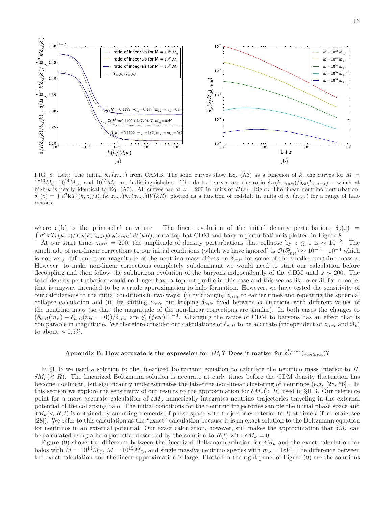

FIG. 8: Left: The initial  $\delta_{cb}(z_{init})$  from CAMB. The solid curves show Eq. (A3) as a function of k, the curves for  $M =$  $10^{13}M_{\odot}$ ,  $10^{14}M_{\odot}$ , and  $10^{15}M_{\odot}$  are indistinguishable. The dotted curves are the ratio  $\dot{\delta}_{cb}(k, z_{init})/\delta_{cb}(k, z_{init})$  – which at high-k is nearly identical to Eq. (A3). All curves are at  $z = 200$  in units of  $H(z)$ . Right: The linear neutrino perturbation,  $\delta_{\nu}(z) = \int d^3\mathbf{k} T_{\nu}(k,z)/T_{cb}(k,z_{init})\delta_{cb}(z_{init})W(kR)$ , plotted as a function of redshift in units of  $\delta_{cb}(z_{init})$  for a range of halo masses.

where  $\zeta(\mathbf{k})$  is the primordial curvature. The linear evolution of the initial density perturbation,  $\delta_{\nu}(z)$  =  $\int d^3{\bf k} T_{\nu}(k,z)/T_{cb}(k,z_{init})\delta_{cb}(z_{init})W(kR)$ , for a top-hat CDM and baryon perturbation is plotted in Figure 8.

At our start time,  $z_{init} = 200$ , the amplitude of density perturbations that collapse by  $z \lesssim 1$  is  $\sim 10^{-2}$ . The amplitude of non-linear corrections to our initial conditions (which we have ignored) is  $\mathcal{O}(\delta_{init}^2) \sim 10^{-3} - 10^{-4}$  which is not very different from magnitude of the neutrino mass effects on  $\delta_{crit}$  for some of the smaller neutrino masses. However, to make non-linear corrections completely subdominant we would need to start our calculation before decoupling and then follow the subhorizon evolution of the baryons independently of the CDM until  $z \sim 200$ . The total density perturbation would no longer have a top-hat profile in this case and this seems like overkill for a model that is anyway intended to be a crude approximation to halo formation. However, we have tested the sensitivity of our calculations to the initial conditions in two ways: (i) by changing  $z_{init}$  to earlier times and repeating the spherical collapse calculation and (ii) by shifting  $z_{init}$  but keeping  $\delta_{init}$  fixed between calculations with different values of the neutrino mass (so that the magnitude of the non-linear corrections are similar). In both cases the changes to  $(\delta_{crit}(m_{\nu}) - \delta_{crit}(m_{\nu} = 0))/\delta_{crit}$  are  $\leq (few)10^{-3}$ . Changing the ratios of CDM to baryons has an effect that is comparable in magnitude. We therefore consider our calculations of  $\delta_{crit}$  to be accurate (independent of  $z_{init}$  and  $\Omega_b$ ) to about  $\sim 0.5\%$ .

## Appendix B: How accurate is the expression for  $\delta M_{\nu}$ ? Does it matter for  $\delta_{cb}^{linear}(z_{collapse})$ ?

In  $\S$ II B we used a solution to the linearized Boltzmann equation to calculate the neutrino mass interior to  $R$ ,  $\delta M_{\nu}(< R)$ . The linearized Boltzmann solution is accurate at early times before the CDM density fluctuation has become nonlinear, but significantly underestimates the late-time non-linear clustering of neutrinos (e.g. [28, 56]). In this section we explore the sensitivity of our results to the approximation for  $\delta M_\nu(< R)$  used in §II B. Our reference point for a more accurate calculation of  $\delta M_{\nu}$  numerically integrates neutrino trajectories traveling in the external potential of the collapsing halo. The initial conditions for the neutrino trajectories sample the initial phase space and  $\delta M_{\nu}(< R, t)$  is obtained by summing elements of phase space with trajectories interior to R at time t (for details see [28]). We refer to this calculation as the "exact" calculation because it is an exact solution to the Boltzmann equation for neutrinos in an external potential. Our exact calculation, however, still makes the approximation that  $\delta M_{\nu}$  can be calculated using a halo potential described by the solution to  $R(t)$  with  $\delta M_{\nu} = 0$ .

Figure (9) shows the difference between the linearized Boltzmann solution for  $\delta M_{\nu}$  and the exact calculation for halos with  $M = 10^{14} M_{\odot}$ ,  $M = 10^{15} M_{\odot}$ , and single massive neutrino species with  $m_{\nu} = 1 eV$ . The difference between the exact calculation and the linear approximation is large. Plotted in the right panel of Figure (9) are the solutions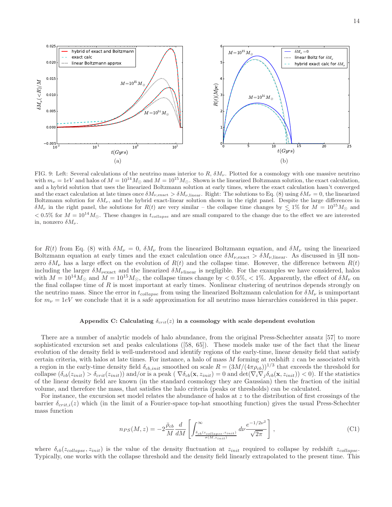

FIG. 9: Left: Several calculations of the neutrino mass interior to  $R$ ,  $\delta M_{\nu}$ . Plotted for a cosmology with one massive neutrino with  $m_{\nu} = 1eV$  and halos of  $M = 10^{14}M_{\odot}$  and  $M = 10^{15}M_{\odot}$ . Shown is the linearized Boltzmann solution, the exact calculation, and a hybrid solution that uses the linearized Boltzmann solution at early times, where the exact calculation hasn't converged and the exact calculation at late times once  $\delta M_{\nu,\text{exact}} > \delta M_{\nu,\text{linear}}$ . Right: The solutions to Eq. (8) using  $\delta M_{\nu} = 0$ , the linearized Boltzmann solution for  $\delta M_{\nu}$ , and the hybrid exact-linear solution shown in the right panel. Despite the large differences in  $\delta M_{\nu}$  in the right panel, the solutions for  $R(t)$  are very similar – the collapse time changes by  $\leq 1\%$  for  $M = 10^{15} M_{\odot}$  and  $< 0.5\%$  for  $M = 10^{14} M_{\odot}$ . These changes in  $t_{collapse}$  and are small compared to the change due to the effect we are interested in, nonzero  $\delta M_{\nu}$ .

for  $R(t)$  from Eq. (8) with  $\delta M_{\nu} = 0$ ,  $\delta M_{\nu}$  from the linearized Boltzmann equation, and  $\delta M_{\nu}$  using the linearized Boltzmann equation at early times and the exact calculation once  $\delta M_{\nu, \text{exact}} > \delta M_{\nu, \text{linear}}$ . As discussed in §II nonzero  $\delta M_{\nu}$  has a large effect on the evolution of  $R(t)$  and the collapse time. However, the difference between  $R(t)$ including the larger  $\delta M_{\nu \text{exact}}$  and the linearized  $\delta M_{\nu \text{linear}}$  is negligible. For the examples we have considered, halos with  $M = 10^{14} M_{\odot}$  and  $M = 10^{15} M_{\odot}$ , the collapse times change by  $< 0.5\%$ ,  $< 1\%$ . Apparently, the effect of  $\delta M_{\nu}$  on the final collapse time of  $R$  is most important at early times. Nonlinear clustering of neutrinos depends strongly on the neutrino mass. Since the error in  $t_{collapse}$  from using the linearized Boltzmann calculation for  $\delta M_{\nu}$  is unimportant for  $m_{\nu} = 1eV$  we conclude that it is a safe approximation for all neutrino mass hierarchies considered in this paper.

#### Appendix C: Calculating  $\delta_{crit}(z)$  in a cosmology with scale dependent evolution

There are a number of analytic models of halo abundance, from the original Press-Schechter ansatz [57] to more sophisticated excursion set and peaks calculations ([58, 65]). These models make use of the fact that the linear evolution of the density field is well-understood and identify regions of the early-time, linear density field that satisfy certain criteria, with halos at late times. For instance, a halo of mass  $M$  forming at redshift  $z$  can be associated with a region in the early-time density field  $\delta_{cb,init}$  smoothed on scale  $R = (3M/(4\pi \rho_{cb}))^{1/3}$  that exceeds the threshold for collapse  $(\delta_{cb}(z_{init}) > \delta_{crit}(z_{init}))$  and/or is a peak  $(\nabla \delta_{cb}(\mathbf{x}, z_{init}) = 0$  and  $\det(\nabla_i \nabla_i \delta_{cb}(\mathbf{x}, z_{init})) < 0$ . If the statistics of the linear density field are known (in the standard cosmology they are Gaussian) then the fraction of the initial volume, and therefore the mass, that satisfies the halo criteria (peaks or thresholds) can be calculated.

For instance, the excursion set model relates the abundance of halos at  $z$  to the distribution of first crossings of the barrier  $\delta_{crit,i}(z)$  which (in the limit of a Fourier-space top-hat smoothing function) gives the usual Press-Schechter mass function

$$
n_{PS}(M,z) = -2\frac{\bar{\rho}_{cb}}{M} \frac{d}{dM} \left[ \int_{\frac{\delta_{cb}(z_{collapse}, z_{init})}{\sigma(M, z_{init})}}^{\infty} d\nu \frac{e^{-1/2\nu^2}}{\sqrt{2\pi}} \right],
$$
\n(C1)

where  $\delta_{cb}(z_{collapse}, z_{init})$  is the value of the density fluctuation at  $z_{init}$  required to collapse by redshift  $z_{collapse}$ . Typically, one works with the collapse threshold and the density field linearly extrapolated to the present time. This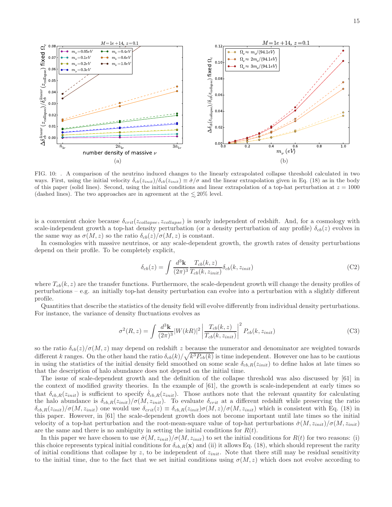

FIG. 10: . A comparison of the neutrino induced changes to the linearly extrapolated collapse threshold calculated in two ways. First, using the initial velocity  $\delta_{cb}(z_{init})/\delta_{cb}(z_{init}) \equiv \dot{\sigma}/\sigma$  and the linear extrapolation given in Eq. (18) as in the body of this paper (solid lines). Second, using the initial conditions and linear extrapolation of a top-hat perturbation at  $z = 1000$ (dashed lines). The two approaches are in agreement at the  $\lesssim20\%$  level.

is a convenient choice because  $\delta_{crit}(z_{collapse}, z_{collapse})$  is nearly independent of redshift. And, for a cosmology with scale-independent growth a top-hat density perturbation (or a density perturbation of any profile)  $\delta_{cb}(z)$  evolves in the same way as  $\sigma(M, z)$  so the ratio  $\delta_{cb}(z)/\sigma(M, z)$  is constant.

In cosmologies with massive neutrinos, or any scale-dependent growth, the growth rates of density perturbations depend on their profile. To be completely explicit,

$$
\delta_{cb}(z) = \int \frac{d^3 \mathbf{k}}{(2\pi)^3} \frac{T_{cb}(k, z)}{T_{cb}(k, z_{init})} \delta_{cb}(k, z_{init})
$$
\n(C2)

where  $T_{cb}(k, z)$  are the transfer functions. Furthermore, the scale-dependent growth will change the density profiles of perturbations – e.g. an initially top-hat density perturbation can evolve into a perturbation with a slightly different profile.

Quantities that describe the statistics of the density field will evolve differently from individual density perturbations. For instance, the variance of density fluctuations evolves as

$$
\sigma^{2}(R,z) = \int \frac{d^{3} \mathbf{k}}{(2\pi)^{3}} |W(kR)|^{2} \left| \frac{T_{cb}(k,z)}{T_{cb}(k,z_{init})} \right|^{2} P_{cb}(k,z_{init})
$$
(C3)

so the ratio  $\delta_{cb}(z)/\sigma(M,z)$  may depend on redshift z because the numerator and denominator are weighted towards different k ranges. On the other hand the ratio  $\delta_{cb}(k)/\sqrt{k^3P_{cb}(k)}$  is time independent. However one has to be cautious in using the statistics of the initial density field smoothed on some scale  $\delta_{cb,R}(z_{init})$  to define halos at late times so that the description of halo abundance does not depend on the initial time.

The issue of scale-dependent growth and the definition of the collapse threshold was also discussed by [61] in the context of modified gravity theories. In the example of [61], the growth is scale-independent at early times so that  $\delta_{cb,R}(z_{init})$  is sufficient to specify  $\delta_{cb,R}(z_{init})$ . Those authors note that the relevant quantity for calculating the halo abundance is  $\delta_{cb,R}(z_{init})/\sigma(M,z_{init})$ . To evaluate  $\delta_{crit}$  at a different redshift while preserving the ratio  $\delta_{cb,R}(z_{init})/\sigma(M,z_{init})$  one would use  $\delta_{crit}(z) \equiv \delta_{cb,R}(z_{init})\sigma(M,z)/\sigma(M,z_{init})$  which is consistent with Eq. (18) in this paper. However, in [61] the scale-dependent growth does not become important until late times so the initial velocity of a top-hat perturbation and the root-mean-square value of top-hat perturbations  $\dot{\sigma}(M, z_{init})/\sigma(M, z_{init})$ are the same and there is no ambiguity in setting the initial conditions for  $R(t)$ .

In this paper we have chosen to use  $\dot{\sigma}(M, z_{init})/\sigma(M, z_{init})$  to set the initial conditions for  $R(t)$  for two reasons: (i) this choice represents typical initial conditions for  $\delta_{cb,R}(\mathbf{x})$  and (ii) it allows Eq. (18), which should represent the rarity of initial conditions that collapse by z, to be independent of  $z_{init}$ . Note that there still may be residual sensitivity to the initial time, due to the fact that we set initial conditions using  $\sigma(M, z)$  which does not evolve according to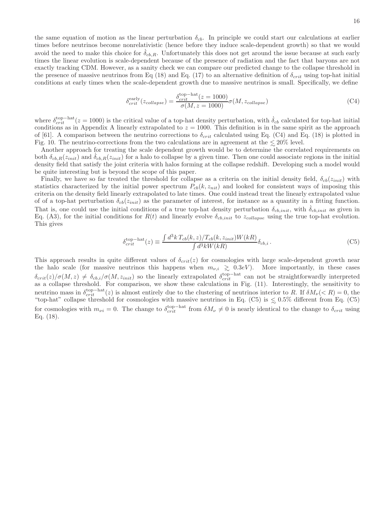the same equation of motion as the linear perturbation  $\delta_{cb}$ . In principle we could start our calculations at earlier times before neutrinos become nonrelativistic (hence before they induce scale-dependent growth) so that we would avoid the need to make this choice for  $\delta_{cb,R}$ . Unfortunately this does not get around the issue because at such early times the linear evolution is scale-dependent because of the presence of radiation and the fact that baryons are not exactly tracking CDM. However, as a sanity check we can compare our predicted change to the collapse threshold in the presence of massive neutrinos from Eq (18) and Eq. (17) to an alternative definition of  $\delta_{crit}$  using top-hat initial conditions at early times when the scale-dependent growth due to massive neutrinos is small. Specifically, we define

$$
\delta_{crit}^{\text{early}}(z_{collapse}) = \frac{\delta_{crit}^{\text{top-hat}}(z=1000)}{\sigma(M, z=1000)} \sigma(M, z_{collapse})
$$
\n(C4)

where  $\delta_{crit}^{\text{top-hat}}(z=1000)$  is the critical value of a top-hat density perturbation, with  $\dot{\delta}_{cb}$  calculated for top-hat initial conditions as in Appendix A linearly extrapolated to  $z = 1000$ . This definition is in the same spirit as the approach of [61]. A comparison between the neutrino corrections to  $\delta_{crit}$  calculated using Eq. (C4) and Eq. (18) is plotted in Fig. 10. The neutrino-corrections from the two calculations are in agreement at the  $\leq 20\%$  level.<br>Another approach for treating the scale dependent growth would be to determine the correlations

Another approach for treating the scale dependent growth would be to determine the correlated requirements on both  $\delta_{cb,R}(z_{init})$  and  $\delta_{cb,R}(z_{init})$  for a halo to collapse by a given time. Then one could associate regions in the initial density field that satisfy the joint criteria with halos forming at the collapse redshift. Developing such a model would be quite interesting but is beyond the scope of this paper.

Finally, we have so far treated the threshold for collapse as a criteria on the initial density field,  $\delta_{cb}(z_{init})$  with statistics characterized by the initial power spectrum  $P_{cb}(k, z_{nit})$  and looked for consistent ways of imposing this criteria on the density field linearly extrapolated to late times. One could instead treat the linearly extrapolated value of of a top-hat perturbation  $\delta_{cb}(z_{init})$  as the parameter of interest, for instance as a quantity in a fitting function. That is, one could use the initial conditions of a true top-hat density perturbation  $\delta_{cb,init}$ , with  $\delta_{cb,init}$  as given in Eq. (A3), for the initial conditions for  $R(t)$  and linearly evolve  $\delta_{cb,init}$  to  $z_{collapse}$  using the true top-hat evolution. This gives

$$
\delta_{crit}^{\text{top-hat}}(z) \equiv \frac{\int d^3k \, T_{cb}(k, z)/T_{cb}(k, z_{init}) W(kR)}{\int d^3k W(kR)} \delta_{cb,i} \,. \tag{C5}
$$

This approach results in quite different values of  $\delta_{crit}(z)$  for cosmologies with large scale-dependent growth near the halo scale (for massive neutrinos this happens when  $m_{\nu,i} \gtrsim 0.3eV$ ). More importantly, in these cases  $\delta_{crit}(z)/\sigma(M,z) \neq \delta_{cb,i}/\sigma(M,z_{init})$  so the linearly extrapolated  $\delta_{crit}^{top-hat}$  can not be straightforwardly interpreted as a collapse threshold. For comparison, we show these calculations in Fig. (11). Interestingly, the sensitivity to neutrino mass in  $\delta_{crit}^{top-hat}(z)$  is almost entirely due to the clustering of neutrinos interior to R. If  $\delta M_{\nu}(< R) = 0$ , the "top-hat" collapse threshold for cosmologies with massive neutrinos in Eq. (C5) is  $\leq$ "top-hat" collapse threshold for cosmologies with massive neutrinos in Eq. (C5) is  $\leq 0.5\%$  different from Eq. (C5) for cosmologies with  $m_{\nu i} = 0$ . The change to  $\delta_{crit}^{top-hat}$  from  $\delta M_{\nu} \neq 0$  is nearly identical to the change to  $\delta_{crit}$  using Eq. (18).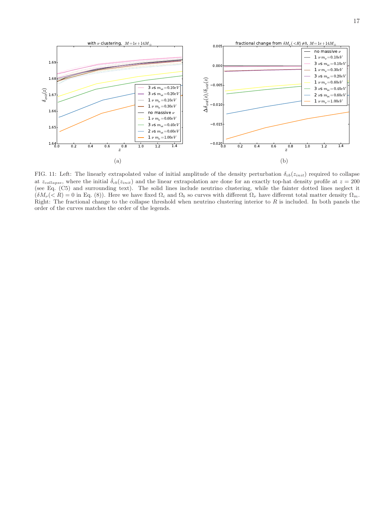

FIG. 11: Left: The linearly extrapolated value of initial amplitude of the density perturbation  $\delta_{cb}(z_{init})$  required to collapse at  $z_{collapse}$ , where the initial  $\dot{\delta}_{cb}(z_{init})$  and the linear extrapolation are done for an exactly top-hat density profile at  $z = 200$ (see Eq. (C5) and surrounding text). The solid lines include neutrino clustering, while the fainter dotted lines neglect it  $(\delta M_{\nu}(< R) = 0$  in Eq. (8)). Here we have fixed  $\Omega_c$  and  $\Omega_b$  so curves with different  $\Omega_{\nu}$  have different total matter density  $\Omega_m$ . Right: The fractional change to the collapse threshold when neutrino clustering interior to  $R$  is included. In both panels the order of the curves matches the order of the legends.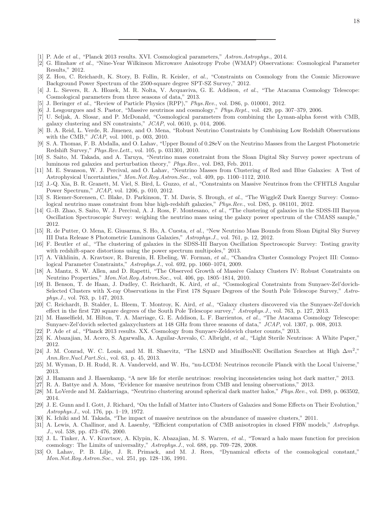- [1] P. Ade et al., "Planck 2013 results. XVI. Cosmological parameters," Astron.Astrophys., 2014.
- [2] G. Hinshaw et al., "Nine-Year Wilkinson Microwave Anisotropy Probe (WMAP) Observations: Cosmological Parameter Results," 2012.
- [3] Z. Hou, C. Reichardt, K. Story, B. Follin, R. Keisler, et al., "Constraints on Cosmology from the Cosmic Microwave Background Power Spectrum of the 2500-square degree SPT-SZ Survey," 2012.
- [4] J. L. Sievers, R. A. Hlozek, M. R. Nolta, V. Acquaviva, G. E. Addison, et al., "The Atacama Cosmology Telescope: Cosmological parameters from three seasons of data," 2013.
- [5] J. Beringer et al., "Review of Particle Physics (RPP)," Phys.Rev., vol. D86, p. 010001, 2012.
- [6] J. Lesgourgues and S. Pastor, "Massive neutrinos and cosmology," Phys.Rept., vol. 429, pp. 307–379, 2006.
- [7] U. Seljak, A. Slosar, and P. McDonald, "Cosmological parameters from combining the Lyman-alpha forest with CMB, galaxy clustering and SN constraints," JCAP, vol. 0610, p. 014, 2006.
- [8] B. A. Reid, L. Verde, R. Jimenez, and O. Mena, "Robust Neutrino Constraints by Combining Low Redshift Observations with the CMB," JCAP, vol. 1001, p. 003, 2010.
- [9] S. A. Thomas, F. B. Abdalla, and O. Lahav, "Upper Bound of 0.28eV on the Neutrino Masses from the Largest Photometric Redshift Survey," Phys.Rev.Lett., vol. 105, p. 031301, 2010.
- [10] S. Saito, M. Takada, and A. Taruya, "Neutrino mass constraint from the Sloan Digital Sky Survey power spectrum of luminous red galaxies and perturbation theory," Phys.Rev., vol. D83, Feb. 2011.
- [11] M. E. Swanson, W. J. Percival, and O. Lahav, "Neutrino Masses from Clustering of Red and Blue Galaxies: A Test of Astrophysical Uncertainties," Mon.Not.Roy.Astron.Soc., vol. 409, pp. 1100–1112, 2010.
- [12] J.-Q. Xia, B. R. Granett, M. Viel, S. Bird, L. Guzzo, et al., "Constraints on Massive Neutrinos from the CFHTLS Angular Power Spectrum," JCAP, vol. 1206, p. 010, 2012.
- [13] S. Riemer-Sorensen, C. Blake, D. Parkinson, T. M. Davis, S. Brough, et al., "The WiggleZ Dark Energy Survey: Cosmological neutrino mass constraint from blue high-redshift galaxies," Phys.Rev., vol. D85, p. 081101, 2012.
- [14] G.-B. Zhao, S. Saito, W. J. Percival, A. J. Ross, F. Montesano, et al., "The clustering of galaxies in the SDSS-III Baryon Oscillation Spectroscopic Survey: weighing the neutrino mass using the galaxy power spectrum of the CMASS sample," 2012.
- [15] R. de Putter, O. Mena, E. Giusarma, S. Ho, A. Cuesta, et al., "New Neutrino Mass Bounds from Sloan Digital Sky Survey III Data Release 8 Photometric Luminous Galaxies," Astrophys.J., vol. 761, p. 12, 2012.
- [16] F. Beutler et al., "The clustering of galaxies in the SDSS-III Baryon Oscillation Spectroscopic Survey: Testing gravity with redshift-space distortions using the power spectrum multipoles," 2013.
- [17] A. Vikhlinin, A. Kravtsov, R. Burenin, H. Ebeling, W. Forman, et al., "Chandra Cluster Cosmology Project III: Cosmological Parameter Constraints," Astrophys.J., vol. 692, pp. 1060–1074, 2009.
- [18] A. Mantz, S. W. Allen, and D. Rapetti, "The Observed Growth of Massive Galaxy Clusters IV: Robust Constraints on Neutrino Properties," Mon.Not.Roy.Astron.Soc., vol. 406, pp. 1805–1814, 2010.
- [19] B. Benson, T. de Haan, J. Dudley, C. Reichardt, K. Aird, et al., "Cosmological Constraints from Sunyaev-Zel'dovich-Selected Clusters with X-ray Observations in the First 178 Square Degrees of the South Pole Telescope Survey," Astrophys.J., vol. 763, p. 147, 2013.
- [20] C. Reichardt, B. Stalder, L. Bleem, T. Montroy, K. Aird, et al., "Galaxy clusters discovered via the Sunyaev-Zel'dovich effect in the first 720 square degrees of the South Pole Telescope survey," Astrophys. J., vol. 763, p. 127, 2013.
- [21] M. Hasselfield, M. Hilton, T. A. Marriage, G. E. Addison, L. F. Barrientos, et al., "The Atacama Cosmology Telescope: Sunyaev-Zel'dovich selected galaxyclusters at 148 GHz from three seasons of data," JCAP, vol. 1307, p. 008, 2013.
- [22] P. Ade et al., "Planck 2013 results. XX. Cosmology from Sunyaev-Zeldovich cluster counts," 2013.
- [23] K. Abazajian, M. Acero, S. Agarwalla, A. Aguilar-Arevalo, C. Albright, et al., "Light Sterile Neutrinos: A White Paper," 2012.
- [24] J. M. Conrad, W. C. Louis, and M. H. Shaevitz, "The LSND and MiniBooNE Oscillation Searches at High  $\Delta m^2$ ," Ann.Rev.Nucl.Part.Sci., vol. 63, p. 45, 2013.
- [25] M. Wyman, D. H. Rudd, R. A. Vanderveld, and W. Hu, "nu-LCDM: Neutrinos reconcile Planck with the Local Universe," 2013.
- [26] J. Hamann and J. Hasenkamp, "A new life for sterile neutrinos: resolving inconsistencies using hot dark matter," 2013.
- [27] R. A. Battye and A. Moss, "Evidence for massive neutrinos from CMB and lensing observations," 2013.
- [28] M. LoVerde and M. Zaldarriaga, "Neutrino clustering around spherical dark matter halos," Phys.Rev., vol. D89, p. 063502, 2014.
- [29] J. E. Gunn and I. Gott, J. Richard, "On the Infall of Matter into Clusters of Galaxies and Some Effects on Their Evolution," Astrophys.J., vol. 176, pp. 1–19, 1972.
- [30] K. Ichiki and M. Takada, "The impact of massive neutrinos on the abundance of massive clusters," 2011.
- [31] A. Lewis, A. Challinor, and A. Lasenby, "Efficient computation of CMB anisotropies in closed FRW models," Astrophys. J., vol. 538, pp. 473–476, 2000.
- [32] J. L. Tinker, A. V. Kravtsov, A. Klypin, K. Abazajian, M. S. Warren, et al., "Toward a halo mass function for precision cosmology: The Limits of universality," Astrophys.J., vol. 688, pp. 709–728, 2008.
- [33] O. Lahav, P. B. Lilje, J. R. Primack, and M. J. Rees, "Dynamical effects of the cosmological constant," Mon.Not.Roy.Astron.Soc., vol. 251, pp. 128–136, 1991.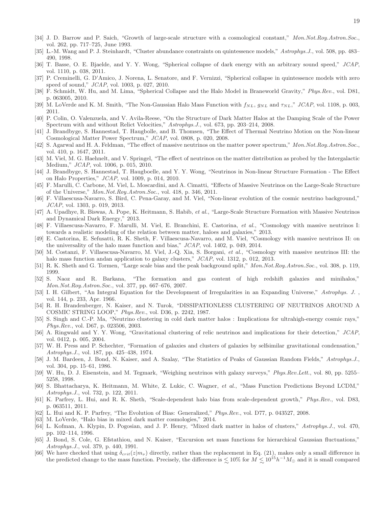- [34] J. D. Barrow and P. Saich, "Growth of large-scale structure with a cosmological constant," Mon.Not.Roy.Astron.Soc., vol. 262, pp. 717–725, June 1993.
- [35] L.-M. Wang and P. J. Steinhardt, "Cluster abundance constraints on quintessence models," Astrophys. J., vol. 508, pp. 483– 490, 1998.
- [36] T. Basse, O. E. Bjaelde, and Y. Y. Wong, "Spherical collapse of dark energy with an arbitrary sound speed," JCAP, vol. 1110, p. 038, 2011.
- [37] P. Creminelli, G. D'Amico, J. Norena, L. Senatore, and F. Vernizzi, "Spherical collapse in quintessence models with zero speed of sound," JCAP, vol. 1003, p. 027, 2010.
- [38] F. Schmidt, W. Hu, and M. Lima, "Spherical Collapse and the Halo Model in Braneworld Gravity," Phys.Rev., vol. D81, p. 063005, 2010.
- [39] M. LoVerde and K. M. Smith, "The Non-Gaussian Halo Mass Function with  $f_{NL}$ ,  $g_{NL}$  and  $\tau_{NL}$ ," JCAP, vol. 1108, p. 003, 2011.
- [40] P. Colin, O. Valenzuela, and V. Avila-Reese, "On the Structure of Dark Matter Halos at the Damping Scale of the Power Spectrum with and without Relict Velocities," Astrophys.J., vol. 673, pp. 203–214, 2008.
- [41] J. Brandbyge, S. Hannestad, T. Haugbolle, and B. Thomsen, "The Effect of Thermal Neutrino Motion on the Non-linear Cosmological Matter Power Spectrum," JCAP, vol. 0808, p. 020, 2008.
- [42] S. Agarwal and H. A. Feldman, "The effect of massive neutrinos on the matter power spectrum," Mon.Not.Roy.Astron.Soc., vol. 410, p. 1647, 2011.
- [43] M. Viel, M. G. Haehnelt, and V. Springel, "The effect of neutrinos on the matter distribution as probed by the Intergalactic Medium," JCAP, vol. 1006, p. 015, 2010.
- [44] J. Brandbyge, S. Hannestad, T. Haugboelle, and Y. Y. Wong, "Neutrinos in Non-linear Structure Formation The Effect on Halo Properties," JCAP, vol. 1009, p. 014, 2010.
- [45] F. Marulli, C. Carbone, M. Viel, L. Moscardini, and A. Cimatti, "Effects of Massive Neutrinos on the Large-Scale Structure of the Universe," Mon.Not.Roy.Astron.Soc., vol. 418, p. 346, 2011.
- [46] F. Villaescusa-Navarro, S. Bird, C. Pena-Garay, and M. Viel, "Non-linear evolution of the cosmic neutrino background," JCAP, vol. 1303, p. 019, 2013.
- [47] A. Upadhye, R. Biswas, A. Pope, K. Heitmann, S. Habib, et al., "Large-Scale Structure Formation with Massive Neutrinos and Dynamical Dark Energy," 2013.
- [48] F. Villaescusa-Navarro, F. Marulli, M. Viel, E. Branchini, E. Castorina, et al., "Cosmology with massive neutrinos I: towards a realistic modeling of the relation between matter, haloes and galaxies," 2013.
- [49] E. Castorina, E. Sefusatti, R. K. Sheth, F. Villaescusa-Navarro, and M. Viel, "Cosmology with massive neutrinos II: on the universality of the halo mass function and bias," JCAP, vol. 1402, p. 049, 2014.
- [50] M. Costanzi, F. Villaescusa-Navarro, M. Viel, J.-Q. Xia, S. Borgani, et al., "Cosmology with massive neutrinos III: the halo mass function andan application to galaxy clusters," JCAP, vol. 1312, p. 012, 2013.
- [51] R. K. Sheth and G. Tormen, "Large scale bias and the peak background split," Mon.Not.Roy.Astron.Soc., vol. 308, p. 119, 1999.
- [52] S. Naoz and R. Barkana, "The formation and gas content of high redshift galaxies and minihalos," Mon.Not.Roy.Astron.Soc., vol. 377, pp. 667–676, 2007.
- [53] I. H. Gilbert, "An Integral Equation for the Development of Irregularities in an Expanding Universe," Astrophys. J., vol. 144, p. 233, Apr. 1966.
- [54] R. H. Brandenberger, N. Kaiser, and N. Turok, "DISSIPATIONLESS CLUSTERING OF NEUTRINOS AROUND A COSMIC STRING LOOP," Phys.Rev., vol. D36, p. 2242, 1987.
- [55] S. Singh and C.-P. Ma, "Neutrino clustering in cold dark matter halos : Implications for ultrahigh-energy cosmic rays," Phys.Rev., vol. D67, p. 023506, 2003.
- [56] A. Ringwald and Y. Y. Wong, "Gravitational clustering of relic neutrinos and implications for their detection," JCAP, vol. 0412, p. 005, 2004.
- [57] W. H. Press and P. Schechter, "Formation of galaxies and clusters of galaxies by selfsimilar gravitational condensation," Astrophys.J., vol. 187, pp. 425–438, 1974.
- [58] J. M. Bardeen, J. Bond, N. Kaiser, and A. Szalay, "The Statistics of Peaks of Gaussian Random Fields," Astrophys.J., vol. 304, pp. 15–61, 1986.
- [59] W. Hu, D. J. Eisenstein, and M. Tegmark, "Weighing neutrinos with galaxy surveys," Phys.Rev.Lett., vol. 80, pp. 5255– 5258, 1998.
- [60] S. Bhattacharya, K. Heitmann, M. White, Z. Lukic, C. Wagner, et al., "Mass Function Predictions Beyond LCDM," Astrophys.J., vol. 732, p. 122, 2011.
- [61] K. Parfrey, L. Hui, and R. K. Sheth, "Scale-dependent halo bias from scale-dependent growth," Phys.Rev., vol. D83, p. 063511, 2011.
- [62] L. Hui and K. P. Parfrey, "The Evolution of Bias: Generalized," Phys.Rev., vol. D77, p. 043527, 2008.
- [63] M. LoVerde, "Halo bias in mixed dark matter cosmologies," 2014.
- [64] L. Kofman, A. Klypin, D. Pogosian, and J. P. Henry, "Mixed dark matter in halos of clusters," Astrophys.J., vol. 470, pp. 102–114, 1996.
- [65] J. Bond, S. Cole, G. Efstathiou, and N. Kaiser, "Excursion set mass functions for hierarchical Gaussian fluctuations," Astrophys.J., vol. 379, p. 440, 1991.
- [66] We have checked that using  $\delta_{crit}(z|m_{\nu})$  directly, rather than the replacement in Eq. (21), makes only a small difference in the predicted change to the mass function. Precisely, the difference is  $\lesssim 10\%$  for  $M \lesssim 10^{15} h^{-1} M_{\odot}$  and it is small compared